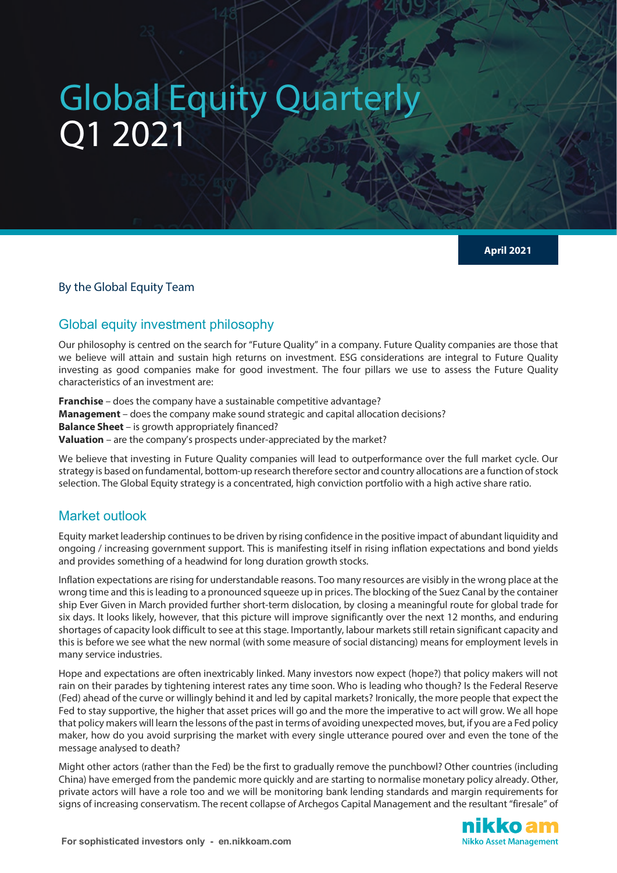# Global Equity Quarterly Q1 2021

**April 2021**

By the Global Equity Team

## Global equity investment philosophy

Our philosophy is centred on the search for "Future Quality" in a company. Future Quality companies are those that we believe will attain and sustain high returns on investment. ESG considerations are integral to Future Quality investing as good companies make for good investment. The four pillars we use to assess the Future Quality characteristics of an investment are:

**Franchise** – does the company have a sustainable competitive advantage? **Management** – does the company make sound strategic and capital allocation decisions? **Balance Sheet** – is growth appropriately financed? **Valuation** – are the company's prospects under-appreciated by the market?

We believe that investing in Future Quality companies will lead to outperformance over the full market cycle. Our strategy is based on fundamental, bottom-up research therefore sector and country allocations are a function of stock selection. The Global Equity strategy is a concentrated, high conviction portfolio with a high active share ratio.

## Market outlook

Equity market leadership continues to be driven by rising confidence in the positive impact of abundant liquidity and ongoing / increasing government support. This is manifesting itself in rising inflation expectations and bond yields and provides something of a headwind for long duration growth stocks.

Inflation expectations are rising for understandable reasons. Too many resources are visibly in the wrong place at the wrong time and this is leading to a pronounced squeeze up in prices. The blocking of the Suez Canal by the container ship Ever Given in March provided further short-term dislocation, by closing a meaningful route for global trade for six days. It looks likely, however, that this picture will improve significantly over the next 12 months, and enduring shortages of capacity look difficult to see at this stage. Importantly, labour markets still retain significant capacity and this is before we see what the new normal (with some measure of social distancing) means for employment levels in many service industries.

Hope and expectations are often inextricably linked. Many investors now expect (hope?) that policy makers will not rain on their parades by tightening interest rates any time soon. Who is leading who though? Is the Federal Reserve (Fed) ahead of the curve or willingly behind it and led by capital markets? Ironically, the more people that expect the Fed to stay supportive, the higher that asset prices will go and the more the imperative to act will grow. We all hope that policy makers will learn the lessons of the past in terms of avoiding unexpected moves, but, if you are a Fed policy maker, how do you avoid surprising the market with every single utterance poured over and even the tone of the message analysed to death?

Might other actors (rather than the Fed) be the first to gradually remove the punchbowl? Other countries (including China) have emerged from the pandemic more quickly and are starting to normalise monetary policy already. Other, private actors will have a role too and we will be monitoring bank lending standards and margin requirements for signs of increasing conservatism. The recent collapse of Archegos Capital Management and the resultant "firesale" of

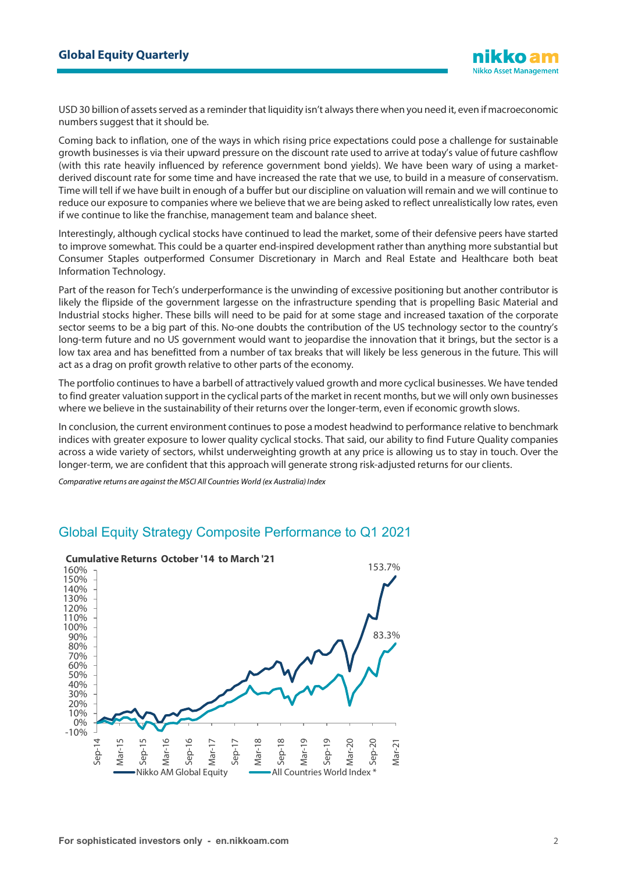USD 30 billion of assets served as a reminder that liquidity isn't always there when you need it, even if macroeconomic numbers suggest that it should be.

Coming back to inflation, one of the ways in which rising price expectations could pose a challenge for sustainable growth businesses is via their upward pressure on the discount rate used to arrive at today's value of future cashflow (with this rate heavily influenced by reference government bond yields). We have been wary of using a marketderived discount rate for some time and have increased the rate that we use, to build in a measure of conservatism. Time will tell if we have built in enough of a buffer but our discipline on valuation will remain and we will continue to reduce our exposure to companies where we believe that we are being asked to reflect unrealistically low rates, even if we continue to like the franchise, management team and balance sheet.

Interestingly, although cyclical stocks have continued to lead the market, some of their defensive peers have started to improve somewhat. This could be a quarter end-inspired development rather than anything more substantial but Consumer Staples outperformed Consumer Discretionary in March and Real Estate and Healthcare both beat Information Technology.

Part of the reason for Tech's underperformance is the unwinding of excessive positioning but another contributor is likely the flipside of the government largesse on the infrastructure spending that is propelling Basic Material and Industrial stocks higher. These bills will need to be paid for at some stage and increased taxation of the corporate sector seems to be a big part of this. No-one doubts the contribution of the US technology sector to the country's long-term future and no US government would want to jeopardise the innovation that it brings, but the sector is a low tax area and has benefitted from a number of tax breaks that will likely be less generous in the future. This will act as a drag on profit growth relative to other parts of the economy.

The portfolio continues to have a barbell of attractively valued growth and more cyclical businesses. We have tended to find greater valuation support in the cyclical parts of the market in recent months, but we will only own businesses where we believe in the sustainability of their returns over the longer-term, even if economic growth slows.

In conclusion, the current environment continues to pose a modest headwind to performance relative to benchmark indices with greater exposure to lower quality cyclical stocks. That said, our ability to find Future Quality companies across a wide variety of sectors, whilst underweighting growth at any price is allowing us to stay in touch. Over the longer-term, we are confident that this approach will generate strong risk-adjusted returns for our clients.

*Comparative returns are against the MSCI All Countries World (ex Australia) Index*

#### 153.7% 83.3% -10% 0% 10% 20% 30% 40% 50% 60% 70% 80% 90% 100% 110% 120% 130% 140% 150% 160% Sep-14 Mar-15 Sep-15 Mar-16 Sep-16 Mar-17 Sep-17 Mar-18 Sep-18 Mar-19 Sep-19 Mar-20 Sep-20 Mar-21 **Cumulative Returns October '14 to March '21** Nikko AM Global Equity **All Countries World Index**

## Global Equity Strategy Composite Performance to Q1 2021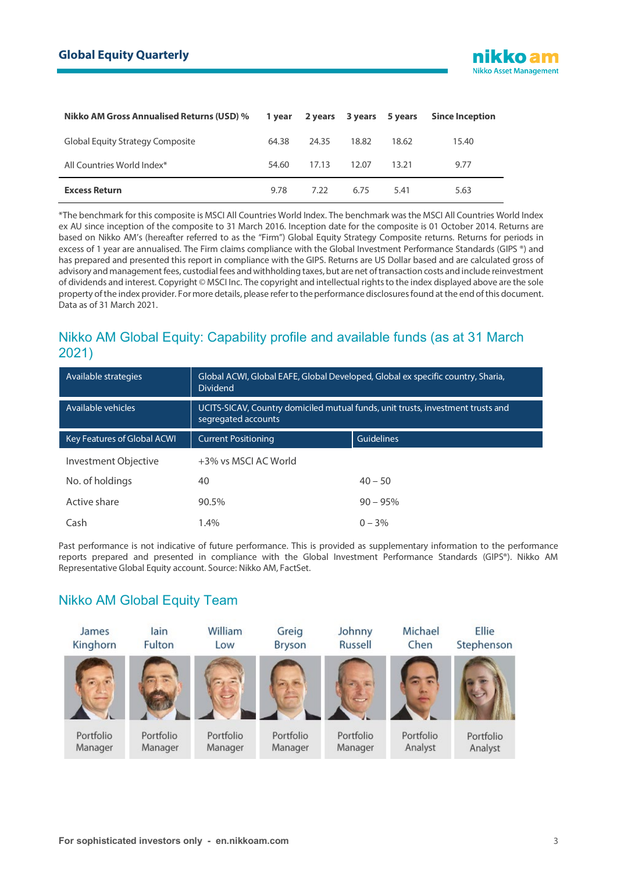| <b>Nikko AM Gross Annualised Returns (USD) %</b> |       | 1 year 2 years 3 years 5 years |       |       | <b>Since Inception</b> |
|--------------------------------------------------|-------|--------------------------------|-------|-------|------------------------|
| Global Equity Strategy Composite                 | 64.38 | 24.35                          | 18.82 | 18.62 | 15.40                  |
| All Countries World Index*                       | 54.60 | 17.13                          | 12.07 | 13.21 | 9.77                   |
| <b>Excess Return</b>                             | 9.78  | 7.22                           | 6.75  | 5.41  | 5.63                   |

\*The benchmark for this composite is MSCI All Countries World Index. The benchmark was the MSCI All Countries World Index ex AU since inception of the composite to 31 March 2016. Inception date for the composite is 01 October 2014. Returns are based on Nikko AM's (hereafter referred to as the "Firm") Global Equity Strategy Composite returns. Returns for periods in excess of 1 year are annualised. The Firm claims compliance with the Global Investment Performance Standards (GIPS ®) and has prepared and presented this report in compliance with the GIPS. Returns are US Dollar based and are calculated gross of advisory and management fees, custodial fees and withholding taxes, but are net of transaction costs and include reinvestment of dividends and interest. Copyright © MSCI Inc. The copyright and intellectual rights to the index displayed above are the sole property of the index provider. For more details, please refer to the performance disclosures found at the end of this document. Data as of 31 March 2021.

## Nikko AM Global Equity: Capability profile and available funds (as at 31 March 2021)

| Available strategies               | Global ACWI, Global EAFE, Global Developed, Global ex specific country, Sharia,<br><b>Dividend</b>     |                   |  |  |
|------------------------------------|--------------------------------------------------------------------------------------------------------|-------------------|--|--|
| Available vehicles                 | UCITS-SICAV, Country domiciled mutual funds, unit trusts, investment trusts and<br>segregated accounts |                   |  |  |
| <b>Key Features of Global ACWI</b> | <b>Current Positioning</b>                                                                             | <b>Guidelines</b> |  |  |
| Investment Objective               | +3% vs MSCI AC World                                                                                   |                   |  |  |
| No. of holdings                    | 40                                                                                                     | $40 - 50$         |  |  |
| Active share                       | 90.5%                                                                                                  | $90 - 95\%$       |  |  |
| Cash                               | 1.4%                                                                                                   | $0 - 3%$          |  |  |

Past performance is not indicative of future performance. This is provided as supplementary information to the performance reports prepared and presented in compliance with the Global Investment Performance Standards (GIPS®). Nikko AM Representative Global Equity account. Source: Nikko AM, FactSet.

## Nikko AM Global Equity Team

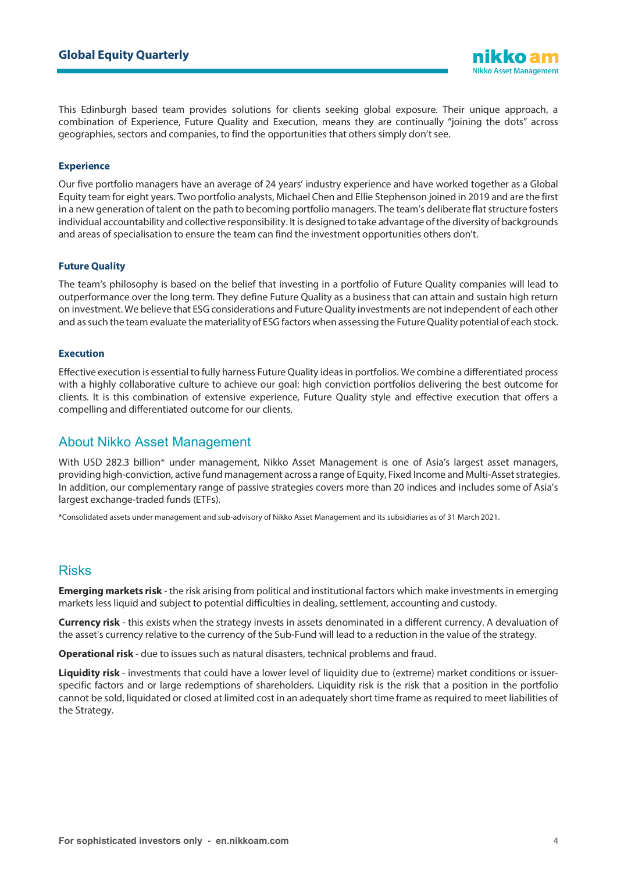This Edinburgh based team provides solutions for clients seeking global exposure. Their unique approach, a combination of Experience, Future Quality and Execution, means they are continually "joining the dots" across geographies, sectors and companies, to find the opportunities that others simply don't see.

#### **Experience**

Our five portfolio managers have an average of 24 years' industry experience and have worked together as a Global Equity team for eight years. Two portfolio analysts, Michael Chen and Ellie Stephenson joined in 2019 and are the first in a new generation of talent on the path to becoming portfolio managers. The team's deliberate flat structure fosters individual accountability and collective responsibility. It is designed to take advantage of the diversity of backgrounds and areas of specialisation to ensure the team can find the investment opportunities others don't.

#### **Future Quality**

The team's philosophy is based on the belief that investing in a portfolio of Future Quality companies will lead to outperformance over the long term. They define Future Quality as a business that can attain and sustain high return on investment. We believe that ESG considerations and Future Quality investments are not independent of each other and as such the team evaluate the materiality of ESG factors when assessing the Future Quality potential of each stock.

#### **Execution**

Effective execution is essential to fully harness Future Quality ideas in portfolios. We combine a differentiated process with a highly collaborative culture to achieve our goal: high conviction portfolios delivering the best outcome for clients. It is this combination of extensive experience, Future Quality style and effective execution that offers a compelling and differentiated outcome for our clients.

### About Nikko Asset Management

With USD 282.3 billion\* under management, Nikko Asset Management is one of Asia's largest asset managers, providing high-conviction, active fund management across a range of Equity, Fixed Income and Multi-Asset strategies. In addition, our complementary range of passive strategies covers more than 20 indices and includes some of Asia's largest exchange-traded funds (ETFs).

\*Consolidated assets under management and sub-advisory of Nikko Asset Management and its subsidiaries as of 31 March 2021.

### Risks

**Emerging markets risk** - the risk arising from political and institutional factors which make investments in emerging markets less liquid and subject to potential difficulties in dealing, settlement, accounting and custody.

**Currency risk** - this exists when the strategy invests in assets denominated in a different currency. A devaluation of the asset's currency relative to the currency of the Sub-Fund will lead to a reduction in the value of the strategy.

**Operational risk** - due to issues such as natural disasters, technical problems and fraud.

**Liquidity risk** - investments that could have a lower level of liquidity due to (extreme) market conditions or issuerspecific factors and or large redemptions of shareholders. Liquidity risk is the risk that a position in the portfolio cannot be sold, liquidated or closed at limited cost in an adequately short time frame as required to meet liabilities of the Strategy.

**Nikko Asset Management**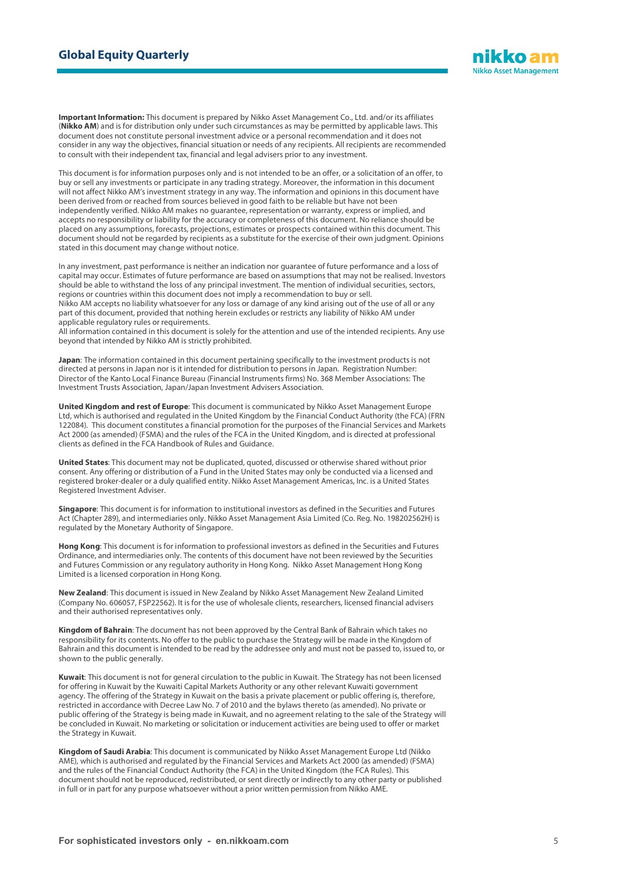

**Important Information:** This document is prepared by Nikko Asset Management Co., Ltd. and/or its affiliates (**Nikko AM**) and is for distribution only under such circumstances as may be permitted by applicable laws. This document does not constitute personal investment advice or a personal recommendation and it does not consider in any way the objectives, financial situation or needs of any recipients. All recipients are recommended to consult with their independent tax, financial and legal advisers prior to any investment.

This document is for information purposes only and is not intended to be an offer, or a solicitation of an offer, to buy or sell any investments or participate in any trading strategy. Moreover, the information in this document will not affect Nikko AM's investment strategy in any way. The information and opinions in this document have been derived from or reached from sources believed in good faith to be reliable but have not been independently verified. Nikko AM makes no guarantee, representation or warranty, express or implied, and accepts no responsibility or liability for the accuracy or completeness of this document. No reliance should be placed on any assumptions, forecasts, projections, estimates or prospects contained within this document. This document should not be regarded by recipients as a substitute for the exercise of their own judgment. Opinions stated in this document may change without notice.

In any investment, past performance is neither an indication nor guarantee of future performance and a loss of capital may occur. Estimates of future performance are based on assumptions that may not be realised. Investors should be able to withstand the loss of any principal investment. The mention of individual securities, sectors, regions or countries within this document does not imply a recommendation to buy or sell. Nikko AM accepts no liability whatsoever for any loss or damage of any kind arising out of the use of all or any part of this document, provided that nothing herein excludes or restricts any liability of Nikko AM under applicable regulatory rules or requirements.

All information contained in this document is solely for the attention and use of the intended recipients. Any use beyond that intended by Nikko AM is strictly prohibited.

**Japan**: The information contained in this document pertaining specifically to the investment products is not directed at persons in Japan nor is it intended for distribution to persons in Japan. Registration Number: Director of the Kanto Local Finance Bureau (Financial Instruments firms) No. 368 Member Associations: The Investment Trusts Association, Japan/Japan Investment Advisers Association.

**United Kingdom and rest of Europe**: This document is communicated by Nikko Asset Management Europe Ltd, which is authorised and regulated in the United Kingdom by the Financial Conduct Authority (the FCA) (FRN 122084). This document constitutes a financial promotion for the purposes of the Financial Services and Markets Act 2000 (as amended) (FSMA) and the rules of the FCA in the United Kingdom, and is directed at professional clients as defined in the FCA Handbook of Rules and Guidance.

**United States**: This document may not be duplicated, quoted, discussed or otherwise shared without prior consent. Any offering or distribution of a Fund in the United States may only be conducted via a licensed and registered broker-dealer or a duly qualified entity. Nikko Asset Management Americas, Inc. is a United States Registered Investment Adviser.

**Singapore**: This document is for information to institutional investors as defined in the Securities and Futures Act (Chapter 289), and intermediaries only. Nikko Asset Management Asia Limited (Co. Reg. No. 198202562H) is regulated by the Monetary Authority of Singapore.

**Hong Kong**: This document is for information to professional investors as defined in the Securities and Futures Ordinance, and intermediaries only. The contents of this document have not been reviewed by the Securities and Futures Commission or any regulatory authority in Hong Kong. Nikko Asset Management Hong Kong Limited is a licensed corporation in Hong Kong.

**New Zealand**: This document is issued in New Zealand by Nikko Asset Management New Zealand Limited (Company No. 606057, FSP22562). It is for the use of wholesale clients, researchers, licensed financial advisers and their authorised representatives only.

**Kingdom of Bahrain**: The document has not been approved by the Central Bank of Bahrain which takes no responsibility for its contents. No offer to the public to purchase the Strategy will be made in the Kingdom of Bahrain and this document is intended to be read by the addressee only and must not be passed to, issued to, or shown to the public generally.

**Kuwait**: This document is not for general circulation to the public in Kuwait. The Strategy has not been licensed for offering in Kuwait by the Kuwaiti Capital Markets Authority or any other relevant Kuwaiti government agency. The offering of the Strategy in Kuwait on the basis a private placement or public offering is, therefore, restricted in accordance with Decree Law No. 7 of 2010 and the bylaws thereto (as amended). No private or public offering of the Strategy is being made in Kuwait, and no agreement relating to the sale of the Strategy will be concluded in Kuwait. No marketing or solicitation or inducement activities are being used to offer or market the Strategy in Kuwait.

**Kingdom of Saudi Arabia**: This document is communicated by Nikko Asset Management Europe Ltd (Nikko AME), which is authorised and regulated by the Financial Services and Markets Act 2000 (as amended) (FSMA) and the rules of the Financial Conduct Authority (the FCA) in the United Kingdom (the FCA Rules). This document should not be reproduced, redistributed, or sent directly or indirectly to any other party or published in full or in part for any purpose whatsoever without a prior written permission from Nikko AME.